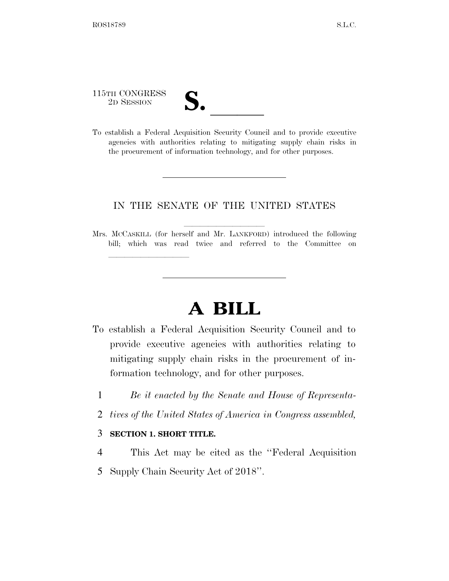115TH CONGRESS

<u>llille som starte som starte som starte som s</u>

115TH CONGRESS<br>
2D SESSION<br>
To establish a Federal Acquisition Security Council and to provide executive agencies with authorities relating to mitigating supply chain risks in the procurement of information technology, and for other purposes.

## IN THE SENATE OF THE UNITED STATES

Mrs. McCaskILL (for herself and Mr. LANKFORD) introduced the following bill; which was read twice and referred to the Committee on

# **A BILL**

- To establish a Federal Acquisition Security Council and to provide executive agencies with authorities relating to mitigating supply chain risks in the procurement of information technology, and for other purposes.
	- 1 *Be it enacted by the Senate and House of Representa-*
	- 2 *tives of the United States of America in Congress assembled,*

#### 3 **SECTION 1. SHORT TITLE.**

- 4 This Act may be cited as the ''Federal Acquisition
- 5 Supply Chain Security Act of 2018''.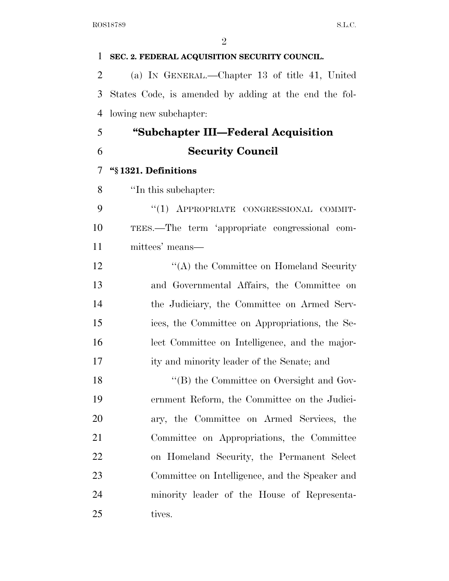| $\mathbf{1}$   | SEC. 2. FEDERAL ACQUISITION SECURITY COUNCIL.         |
|----------------|-------------------------------------------------------|
| $\overline{2}$ | (a) IN GENERAL.—Chapter 13 of title 41, United        |
| 3              | States Code, is amended by adding at the end the fol- |
| $\overline{4}$ | lowing new subchapter:                                |
| 5              | "Subchapter III—Federal Acquisition"                  |
| 6              | <b>Security Council</b>                               |
| 7              | "§1321. Definitions                                   |
| 8              | "In this subchapter:                                  |
| 9              | "(1) APPROPRIATE CONGRESSIONAL COMMIT-                |
| 10             | TEES.—The term 'appropriate congressional com-        |
| 11             | mittees' means-                                       |
| 12             | $\lq\lq$ the Committee on Homeland Security           |
| 13             | and Governmental Affairs, the Committee on            |
| 14             | the Judiciary, the Committee on Armed Serv-           |
| 15             | ices, the Committee on Appropriations, the Se-        |
| 16             | lect Committee on Intelligence, and the major-        |
| 17             | ity and minority leader of the Senate; and            |
| 18             | "(B) the Committee on Oversight and Gov-              |
| 19             | ernment Reform, the Committee on the Judici-          |
| 20             | ary, the Committee on Armed Services, the             |
| 21             | Committee on Appropriations, the Committee            |
| 22             | on Homeland Security, the Permanent Select            |
| 23             | Committee on Intelligence, and the Speaker and        |
| 24             | minority leader of the House of Representa-           |
| 25             | tives.                                                |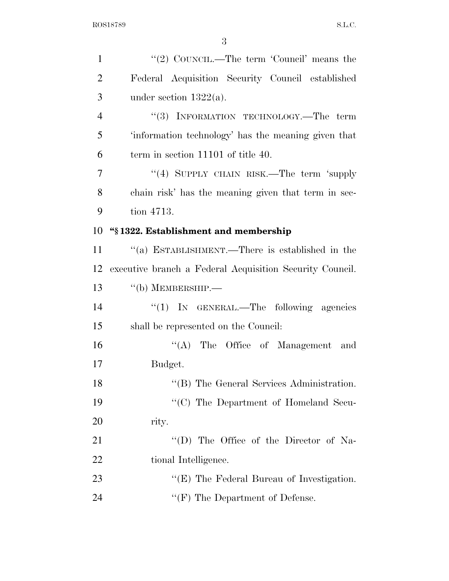| $\mathbf{1}$   | "(2) COUNCIL.—The term 'Council' means the               |
|----------------|----------------------------------------------------------|
| $\overline{2}$ | Federal Acquisition Security Council established         |
| 3              | under section $1322(a)$ .                                |
| $\overline{4}$ | "(3) INFORMATION TECHNOLOGY.—The term                    |
| 5              | 'information technology' has the meaning given that      |
| 6              | term in section 11101 of title 40.                       |
| 7              | "(4) SUPPLY CHAIN RISK.—The term 'supply                 |
| 8              | chain risk' has the meaning given that term in sec-      |
| 9              | tion 4713.                                               |
| 10             | "§1322. Establishment and membership                     |
| 11             | "(a) ESTABLISHMENT.—There is established in the          |
| 12             | executive branch a Federal Acquisition Security Council. |
| 13             | $``$ (b) MEMBERSHIP.—                                    |
| 14             | " $(1)$ IN GENERAL.—The following agencies               |
| 15             | shall be represented on the Council:                     |
| 16             | "(A) The Office of Management and                        |
| 17             | Budget.                                                  |
| 18             | "(B) The General Services Administration.                |
| 19             | "(C) The Department of Homeland Secu-                    |
| 20             | rity.                                                    |
| 21             | "(D) The Office of the Director of Na-                   |
| 22             | tional Intelligence.                                     |
| 23             | " $(E)$ The Federal Bureau of Investigation.             |
| 24             | $\lq\lq(F)$ The Department of Defense.                   |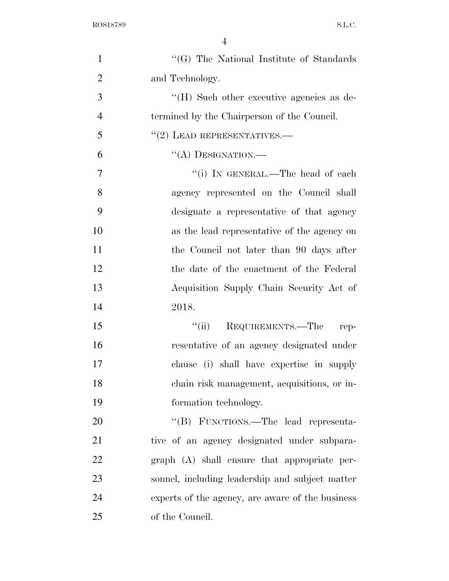| $\mathbf{1}$   | "(G) The National Institute of Standards         |
|----------------|--------------------------------------------------|
| $\overline{2}$ | and Technology.                                  |
| 3              | $H(H)$ Such other executive agencies as de-      |
| $\overline{4}$ | termined by the Chairperson of the Council.      |
| 5              | $"(2)$ LEAD REPRESENTATIVES.—                    |
| 6              | "(A) DESIGNATION.—                               |
| 7              | "(i) IN GENERAL.—The head of each                |
| 8              | agency represented on the Council shall          |
| 9              | designate a representative of that agency        |
| 10             | as the lead representative of the agency on      |
| 11             | the Council not later than 90 days after         |
| 12             | the date of the enactment of the Federal         |
| 13             | Acquisition Supply Chain Security Act of         |
| 14             | 2018.                                            |
| 15             | "(ii) REQUIREMENTS.—The rep-                     |
| 16             | resentative of an agency designated under        |
| 17             | clause (i) shall have expertise in supply        |
| 18             | chain risk management, acquisitions, or in-      |
| 19             | formation technology.                            |
| 20             | "(B) FUNCTIONS.—The lead representa-             |
| 21             | tive of an agency designated under subpara-      |
| 22             | $graph$ $(A)$ shall ensure that appropriate per- |
| 23             | sonnel, including leadership and subject matter  |
| 24             | experts of the agency, are aware of the business |
| 25             | of the Council.                                  |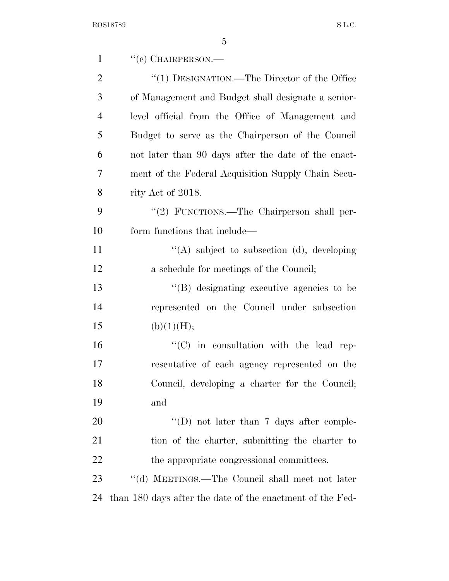| $\mathbf{1}$   | $``(e)$ CHAIRPERSON.—                                     |
|----------------|-----------------------------------------------------------|
| $\overline{2}$ | "(1) DESIGNATION.—The Director of the Office              |
| 3              | of Management and Budget shall designate a senior-        |
| $\overline{4}$ | level official from the Office of Management and          |
| 5              | Budget to serve as the Chairperson of the Council         |
| 6              | not later than 90 days after the date of the enact-       |
| 7              | ment of the Federal Acquisition Supply Chain Secu-        |
| 8              | rity Act of 2018.                                         |
| 9              | "(2) FUNCTIONS.—The Chairperson shall per-                |
| 10             | form functions that include—                              |
| 11             | "(A) subject to subsection (d), developing                |
| 12             | a schedule for meetings of the Council;                   |
| 13             | $\lq\lq(B)$ designating executive agencies to be          |
| 14             | represented on the Council under subsection               |
| 15             | (b)(1)(H);                                                |
| 16             | $\lq\lq$ (C) in consultation with the lead rep-           |
| 17             | resentative of each agency represented on the             |
| 18             | Council, developing a charter for the Council;            |
| 19             | and                                                       |
| 20             | "(D) not later than 7 days after comple-                  |
| 21             | tion of the charter, submitting the charter to            |
| 22             | the appropriate congressional committees.                 |
| 23             | "(d) MEETINGS.—The Council shall meet not later           |
| 24             | than 180 days after the date of the enactment of the Fed- |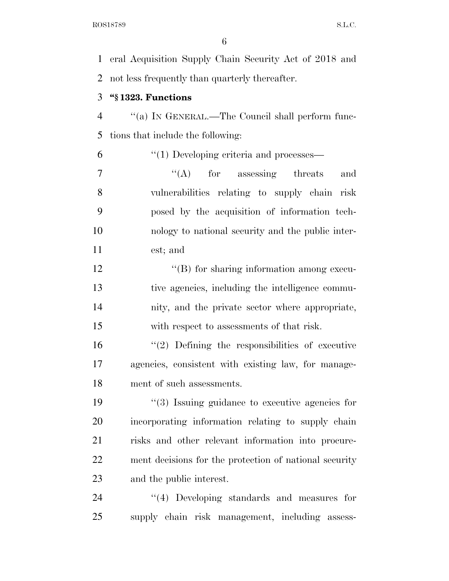eral Acquisition Supply Chain Security Act of 2018 and not less frequently than quarterly thereafter.

## **''§ 1323. Functions**

 ''(a) IN GENERAL.—The Council shall perform func-tions that include the following:

''(1) Developing criteria and processes—

 $\langle (A)$  for assessing threats and vulnerabilities relating to supply chain risk posed by the acquisition of information tech- nology to national security and the public inter-est; and

 $\langle (B)$  for sharing information among execu- tive agencies, including the intelligence commu- nity, and the private sector where appropriate, with respect to assessments of that risk.

 ''(2) Defining the responsibilities of executive agencies, consistent with existing law, for manage-ment of such assessments.

 ''(3) Issuing guidance to executive agencies for incorporating information relating to supply chain risks and other relevant information into procure- ment decisions for the protection of national security and the public interest.

24 "(4) Developing standards and measures for supply chain risk management, including assess-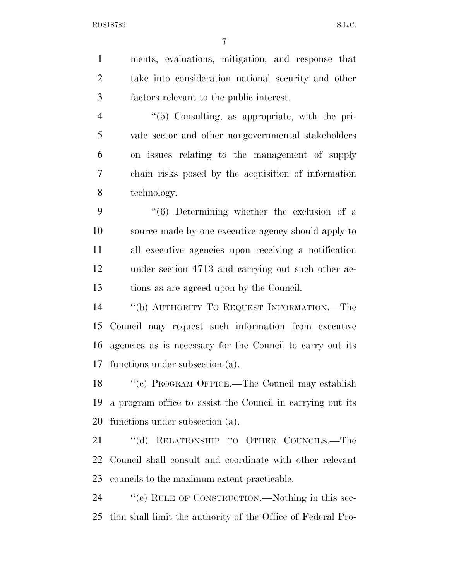ments, evaluations, mitigation, and response that take into consideration national security and other factors relevant to the public interest. 4 "(5) Consulting, as appropriate, with the pri- vate sector and other nongovernmental stakeholders on issues relating to the management of supply chain risks posed by the acquisition of information technology. ''(6) Determining whether the exclusion of a source made by one executive agency should apply to all executive agencies upon receiving a notification under section 4713 and carrying out such other ac- tions as are agreed upon by the Council. ''(b) AUTHORITY TO REQUEST INFORMATION.—The Council may request such information from executive agencies as is necessary for the Council to carry out its functions under subsection (a). 18 "'(c) PROGRAM OFFICE.—The Council may establish a program office to assist the Council in carrying out its functions under subsection (a). ''(d) RELATIONSHIP TO OTHER COUNCILS.—The Council shall consult and coordinate with other relevant councils to the maximum extent practicable. ''(e) RULE OF CONSTRUCTION.—Nothing in this sec-tion shall limit the authority of the Office of Federal Pro-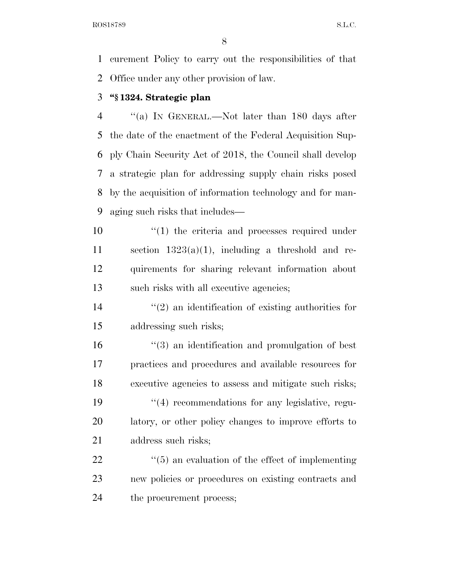curement Policy to carry out the responsibilities of that Office under any other provision of law.

### **''§ 1324. Strategic plan**

 ''(a) IN GENERAL.—Not later than 180 days after the date of the enactment of the Federal Acquisition Sup- ply Chain Security Act of 2018, the Council shall develop a strategic plan for addressing supply chain risks posed by the acquisition of information technology and for man-aging such risks that includes—

 $\frac{1}{2}$  (1) the criteria and processes required under 11 section  $1323(a)(1)$ , including a threshold and re- quirements for sharing relevant information about such risks with all executive agencies;

 $\mathcal{L}(2)$  an identification of existing authorities for addressing such risks;

 ''(3) an identification and promulgation of best practices and procedures and available resources for executive agencies to assess and mitigate such risks; 19 ''(4) recommendations for any legislative, regu- latory, or other policy changes to improve efforts to address such risks;

  $\qquad$   $\qquad$   $\qquad$   $\qquad$   $\qquad$   $\qquad$   $\qquad$   $\qquad$   $\qquad$   $\qquad$   $\qquad$   $\qquad$   $\qquad$   $\qquad$   $\qquad$   $\qquad$   $\qquad$   $\qquad$   $\qquad$   $\qquad$   $\qquad$   $\qquad$   $\qquad$   $\qquad$   $\qquad$   $\qquad$   $\qquad$   $\qquad$   $\qquad$   $\qquad$   $\qquad$   $\qquad$   $\qquad$   $\qquad$   $\qquad$   $\qquad$  new policies or procedures on existing contracts and the procurement process;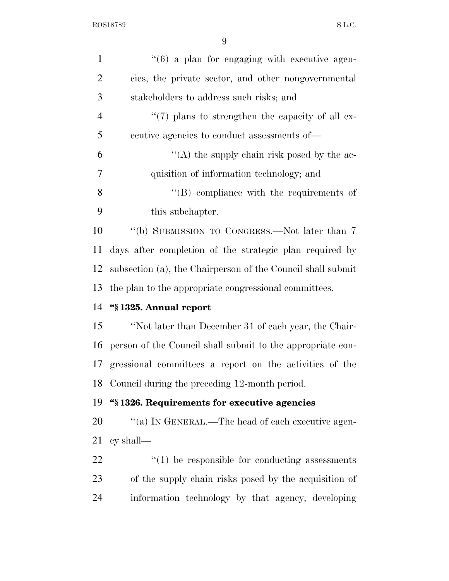| $\mathbf{1}$   | $\cdot\cdot$ (6) a plan for engaging with executive agen-   |
|----------------|-------------------------------------------------------------|
| $\overline{2}$ | cies, the private sector, and other nongovernmental         |
| 3              | stakeholders to address such risks; and                     |
| 4              | $\lq(7)$ plans to strengthen the capacity of all ex-        |
| 5              | ecutive agencies to conduct assessments of—                 |
| 6              | "(A) the supply chain risk posed by the ac-                 |
| 7              | quisition of information technology; and                    |
| 8              | $\lq\lq$ compliance with the requirements of                |
| 9              | this subchapter.                                            |
| 10             | "(b) SUBMISSION TO CONGRESS.—Not later than 7               |
| 11             | days after completion of the strategic plan required by     |
| 12             | subsection (a), the Chairperson of the Council shall submit |
| 13             | the plan to the appropriate congressional committees.       |
| 14             | "§1325. Annual report                                       |
| 15             | "Not later than December 31 of each year, the Chair-        |
| 16             | person of the Council shall submit to the appropriate con-  |
|                | 17 gressional committees a report on the activities of the  |
|                | 18 Council during the preceding 12-month period.            |
| 19             | "§1326. Requirements for executive agencies                 |
| 20             | "(a) IN GENERAL.—The head of each executive agen-           |
| 21             | cy shall                                                    |
| 22             | $\lq(1)$ be responsible for conducting assessments          |
| 23             | of the supply chain risks posed by the acquisition of       |
| 24             | information technology by that agency, developing           |
|                |                                                             |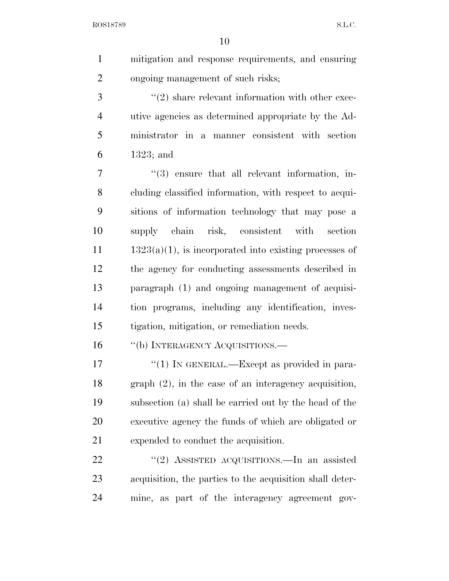mitigation and response requirements, and ensuring ongoing management of such risks;

 $(2)$  share relevant information with other exec- utive agencies as determined appropriate by the Ad- ministrator in a manner consistent with section 1323; and

 $\frac{1}{3}$  ensure that all relevant information, in- cluding classified information, with respect to acqui- sitions of information technology that may pose a supply chain risk, consistent with section  $11 \t 1323(a)(1)$ , is incorporated into existing processes of the agency for conducting assessments described in paragraph (1) and ongoing management of acquisi- tion programs, including any identification, inves-tigation, mitigation, or remediation needs.

16 "(b) INTERAGENCY ACQUISITIONS.—

 $\frac{17}{2}$   $\frac{17}{2}$  IN GENERAL.—Except as provided in para- graph (2), in the case of an interagency acquisition, subsection (a) shall be carried out by the head of the executive agency the funds of which are obligated or expended to conduct the acquisition.

22 "(2) ASSISTED ACQUISITIONS.—In an assisted acquisition, the parties to the acquisition shall deter-mine, as part of the interagency agreement gov-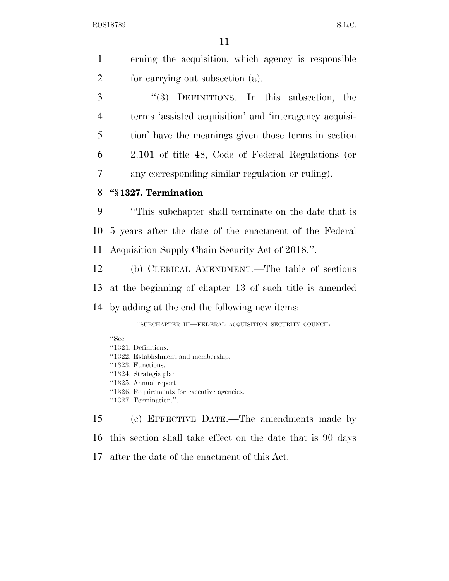|               | erning the acquisition, which agency is responsible |
|---------------|-----------------------------------------------------|
| 2             | for carrying out subsection (a).                    |
| $\mathcal{R}$ | $\lq(3)$ DEFINITIONS.—In this subsection, the       |

 terms 'assisted acquisition' and 'interagency acquisi- tion' have the meanings given those terms in section 2.101 of title 48, Code of Federal Regulations (or any corresponding similar regulation or ruling).

### **''§ 1327. Termination**

 ''This subchapter shall terminate on the date that is 5 years after the date of the enactment of the Federal Acquisition Supply Chain Security Act of 2018.''.

 (b) CLERICAL AMENDMENT.—The table of sections at the beginning of chapter 13 of such title is amended by adding at the end the following new items:

''SUBCHAPTER III—FEDERAL ACQUISITION SECURITY COUNCIL

''Sec. ''1321. Definitions. ''1322. Establishment and membership. ''1323. Functions. ''1324. Strategic plan. ''1325. Annual report. ''1326. Requirements for executive agencies. ''1327. Termination.''.

 (c) EFFECTIVE DATE.—The amendments made by this section shall take effect on the date that is 90 days after the date of the enactment of this Act.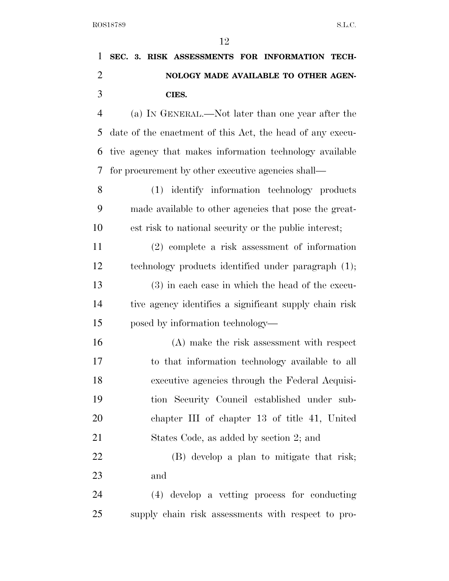|  |  | 1 SEC. 3. RISK ASSESSMENTS FOR INFORMATION TECH- |  |  |
|--|--|--------------------------------------------------|--|--|
|  |  | NOLOGY MADE AVAILABLE TO OTHER AGEN-             |  |  |
|  |  | CIES.                                            |  |  |
|  |  |                                                  |  |  |

 (a) IN GENERAL.—Not later than one year after the date of the enactment of this Act, the head of any execu- tive agency that makes information technology available for procurement by other executive agencies shall—

 (1) identify information technology products made available to other agencies that pose the great-est risk to national security or the public interest;

 (2) complete a risk assessment of information technology products identified under paragraph (1); (3) in each case in which the head of the execu- tive agency identifies a significant supply chain risk posed by information technology—

 (A) make the risk assessment with respect to that information technology available to all executive agencies through the Federal Acquisi- tion Security Council established under sub- chapter III of chapter 13 of title 41, United States Code, as added by section 2; and

 (B) develop a plan to mitigate that risk; and

 (4) develop a vetting process for conducting supply chain risk assessments with respect to pro-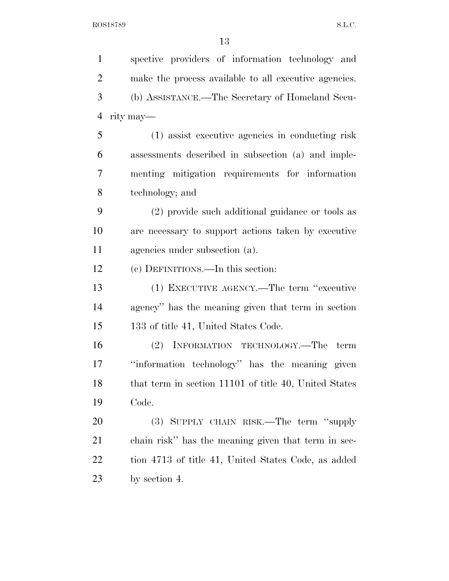spective providers of information technology and make the process available to all executive agencies. (b) ASSISTANCE.—The Secretary of Homeland Secu- rity may— (1) assist executive agencies in conducting risk assessments described in subsection (a) and imple- menting mitigation requirements for information technology; and (2) provide such additional guidance or tools as are necessary to support actions taken by executive agencies under subsection (a). (c) DEFINITIONS.—In this section: (1) EXECUTIVE AGENCY.—The term ''executive agency'' has the meaning given that term in section 133 of title 41, United States Code. (2) INFORMATION TECHNOLOGY.—The term ''information technology'' has the meaning given 18 that term in section 11101 of title 40, United States Code. (3) SUPPLY CHAIN RISK.—The term ''supply chain risk'' has the meaning given that term in sec- tion 4713 of title 41, United States Code, as added by section 4.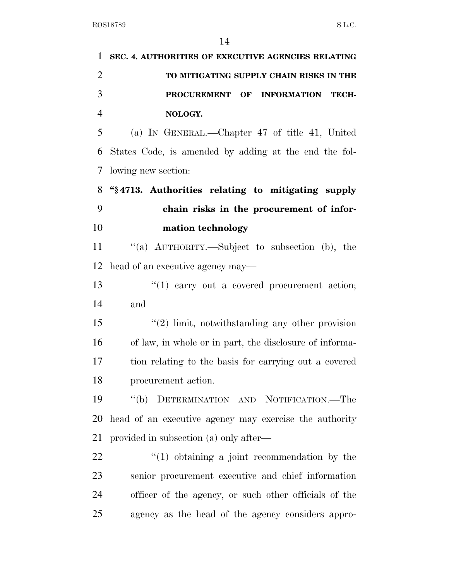| 1              | SEC. 4. AUTHORITIES OF EXECUTIVE AGENCIES RELATING      |
|----------------|---------------------------------------------------------|
| $\overline{2}$ | TO MITIGATING SUPPLY CHAIN RISKS IN THE                 |
| 3              | PROCUREMENT OF<br><b>INFORMATION TECH-</b>              |
| $\overline{4}$ | NOLOGY.                                                 |
| 5              | (a) IN GENERAL.—Chapter 47 of title 41, United          |
| 6              | States Code, is amended by adding at the end the fol-   |
| 7              | lowing new section:                                     |
| 8              | "§4713. Authorities relating to mitigating supply       |
| 9              | chain risks in the procurement of infor-                |
| 10             | mation technology                                       |
| 11             | "(a) AUTHORITY.—Subject to subsection (b), the          |
| 12             | head of an executive agency may—                        |
| 13             | $f(1)$ carry out a covered procurement action;          |
| 14             | and                                                     |
| 15             | $(2)$ limit, notwithstanding any other provision        |
| 16             | of law, in whole or in part, the disclosure of informa- |
| 17             | tion relating to the basis for carrying out a covered   |
| 18             | procurement action.                                     |
| 19             | "(b) DETERMINATION AND NOTIFICATION.—The                |
| 20             | head of an executive agency may exercise the authority  |
| 21             | provided in subsection (a) only after—                  |
| 22             | $\lq(1)$ obtaining a joint recommendation by the        |
| 23             | senior procurement executive and chief information      |
| 24             | officer of the agency, or such other officials of the   |
| 25             | agency as the head of the agency considers appro-       |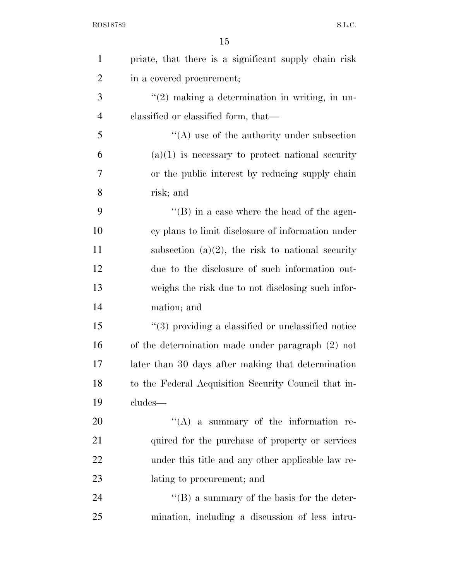| $\mathbf{1}$   | priate, that there is a significant supply chain risk |
|----------------|-------------------------------------------------------|
| $\overline{2}$ | in a covered procurement;                             |
| 3              | $\lq(2)$ making a determination in writing, in un-    |
| $\overline{4}$ | classified or classified form, that—                  |
| 5              | $\lq\lq$ use of the authority under subsection        |
| 6              | $(a)(1)$ is necessary to protect national security    |
| 7              | or the public interest by reducing supply chain       |
| 8              | risk; and                                             |
| 9              | $\lq\lq$ (B) in a case where the head of the agen-    |
| 10             | cy plans to limit disclosure of information under     |
| 11             | subsection $(a)(2)$ , the risk to national security   |
| 12             | due to the disclosure of such information out-        |
| 13             | weighs the risk due to not disclosing such infor-     |
| 14             | mation; and                                           |
| 15             | $"$ (3) providing a classified or unclassified notice |
| 16             | of the determination made under paragraph (2) not     |
| 17             | later than 30 days after making that determination    |
| 18             | to the Federal Acquisition Security Council that in-  |
| 19             | cludes—                                               |
| 20             | $\lq\lq$ a summary of the information re-             |
| 21             | quired for the purchase of property or services       |
| 22             | under this title and any other applicable law re-     |
| 23             | lating to procurement; and                            |
| 24             | $\lq\lq (B)$ a summary of the basis for the deter-    |
| 25             | mination, including a discussion of less intru-       |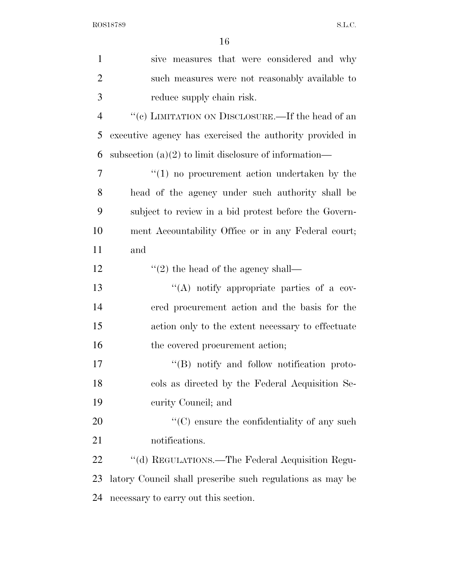| $\mathbf{1}$   | sive measures that were considered and why                |
|----------------|-----------------------------------------------------------|
| $\overline{2}$ | such measures were not reasonably available to            |
| 3              | reduce supply chain risk.                                 |
| $\overline{4}$ | "(c) LIMITATION ON DISCLOSURE.—If the head of an          |
| 5              | executive agency has exercised the authority provided in  |
| 6              | subsection $(a)(2)$ to limit disclosure of information—   |
| 7              | $\lq(1)$ no procurement action undertaken by the          |
| 8              | head of the agency under such authority shall be          |
| 9              | subject to review in a bid protest before the Govern-     |
| 10             | ment Accountability Office or in any Federal court;       |
| 11             | and                                                       |
| 12             | $"(2)$ the head of the agency shall—                      |
| 13             | "(A) notify appropriate parties of a cov-                 |
| 14             | ered procurement action and the basis for the             |
| 15             | action only to the extent necessary to effectuate         |
| 16             | the covered procurement action;                           |
| 17             | "(B) notify and follow notification proto-                |
| 18             | cols as directed by the Federal Acquisition Se-           |
| 19             | curity Council; and                                       |
| 20             | $\lq\lq$ (C) ensure the confidentiality of any such       |
| 21             | notifications.                                            |
| 22             | "(d) REGULATIONS.—The Federal Acquisition Regu-           |
| 23             | latory Council shall prescribe such regulations as may be |
| 24             | necessary to carry out this section.                      |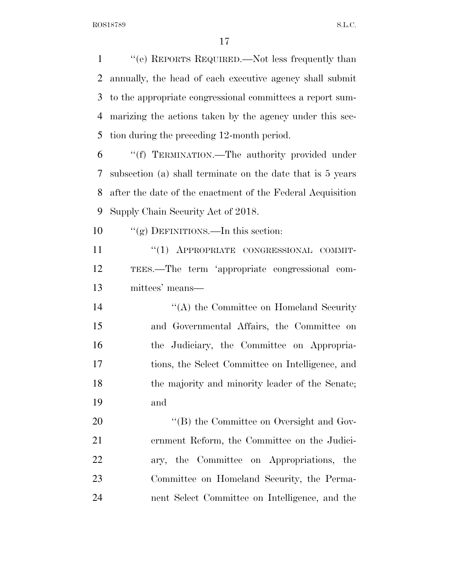''(e) REPORTS REQUIRED.—Not less frequently than annually, the head of each executive agency shall submit to the appropriate congressional committees a report sum- marizing the actions taken by the agency under this sec-tion during the preceding 12-month period.

 ''(f) TERMINATION.—The authority provided under subsection (a) shall terminate on the date that is 5 years after the date of the enactment of the Federal Acquisition Supply Chain Security Act of 2018.

10 "(g) DEFINITIONS.—In this section:

11 "(1) APPROPRIATE CONGRESSIONAL COMMIT- TEES.—The term 'appropriate congressional com-mittees' means—

14 ''(A) the Committee on Homeland Security and Governmental Affairs, the Committee on the Judiciary, the Committee on Appropria- tions, the Select Committee on Intelligence, and 18 the majority and minority leader of the Senate; and

 $\text{``(B) the Committee on Oversight and Gov-}$  ernment Reform, the Committee on the Judici- ary, the Committee on Appropriations, the Committee on Homeland Security, the Perma-nent Select Committee on Intelligence, and the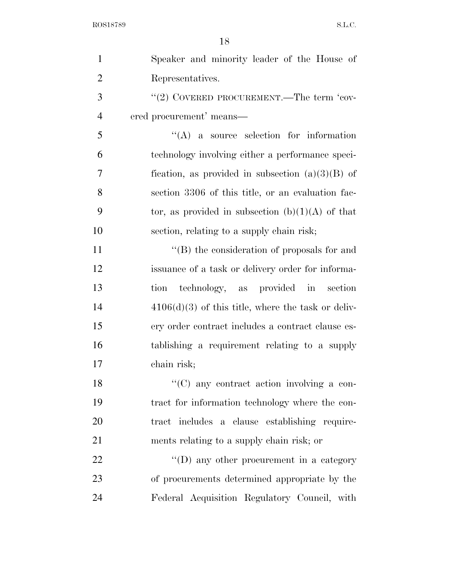| $\mathbf{1}$   | Speaker and minority leader of the House of          |
|----------------|------------------------------------------------------|
| $\overline{2}$ | Representatives.                                     |
| 3              | "(2) COVERED PROCUREMENT.—The term 'cov-             |
| $\overline{4}$ | ered procurement' means—                             |
| 5              | $\lq\lq$ a source selection for information          |
| 6              | technology involving either a performance speci-     |
| 7              | fication, as provided in subsection $(a)(3)(B)$ of   |
| 8              | section 3306 of this title, or an evaluation fac-    |
| 9              | tor, as provided in subsection $(b)(1)(A)$ of that   |
| 10             | section, relating to a supply chain risk;            |
| 11             | $\lq\lq$ the consideration of proposals for and      |
| 12             | issuance of a task or delivery order for informa-    |
| 13             | tion technology, as provided in<br>section           |
| 14             | $4106(d)(3)$ of this title, where the task or deliv- |
| 15             | ery order contract includes a contract clause es-    |
| 16             | tablishing a requirement relating to a supply        |
| 17             | chain risk;                                          |
| 18             | "(C) any contract action involving a con-            |
| 19             | tract for information technology where the con-      |
| 20             | tract includes a clause establishing require-        |
| 21             | ments relating to a supply chain risk; or            |
| 22             | $\lq\lq$ (D) any other procurement in a category     |
| 23             | of procurements determined appropriate by the        |
| 24             | Federal Acquisition Regulatory Council, with         |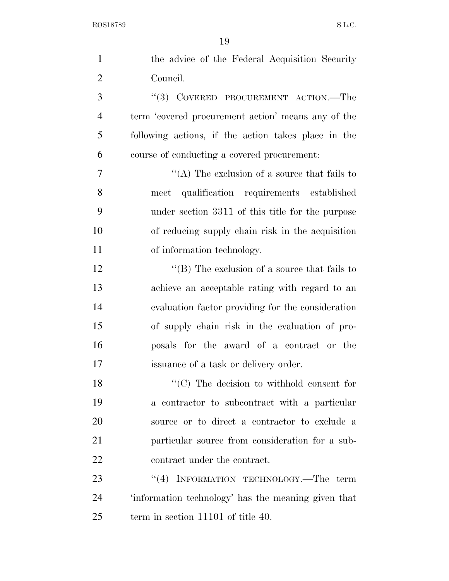| $\mathbf{1}$   | the advice of the Federal Acquisition Security      |
|----------------|-----------------------------------------------------|
| $\overline{2}$ | Council.                                            |
| 3              | "(3) COVERED PROCUREMENT ACTION.—The                |
| $\overline{4}$ | term 'covered procurement action' means any of the  |
| 5              | following actions, if the action takes place in the |
| 6              | course of conducting a covered procurement:         |
| 7              | "(A) The exclusion of a source that fails to        |
| 8              | qualification requirements established<br>meet      |
| 9              | under section 3311 of this title for the purpose    |
| 10             | of reducing supply chain risk in the acquisition    |
| 11             | of information technology.                          |
| 12             | "(B) The exclusion of a source that fails to        |
| 13             | achieve an acceptable rating with regard to an      |
| 14             | evaluation factor providing for the consideration   |
| 15             | of supply chain risk in the evaluation of pro-      |
| 16             | posals for the award of a contract or the           |
| 17             | issuance of a task or delivery order.               |
| 18             | $C$ The decision to withhold consent for            |
| 19             | a contractor to subcontract with a particular       |
| 20             | source or to direct a contractor to exclude a       |
| 21             | particular source from consideration for a sub-     |
| 22             | contract under the contract.                        |
| 23             | "(4) INFORMATION TECHNOLOGY.—The term               |
| 24             | 'information technology' has the meaning given that |
| 25             | term in section 11101 of title 40.                  |